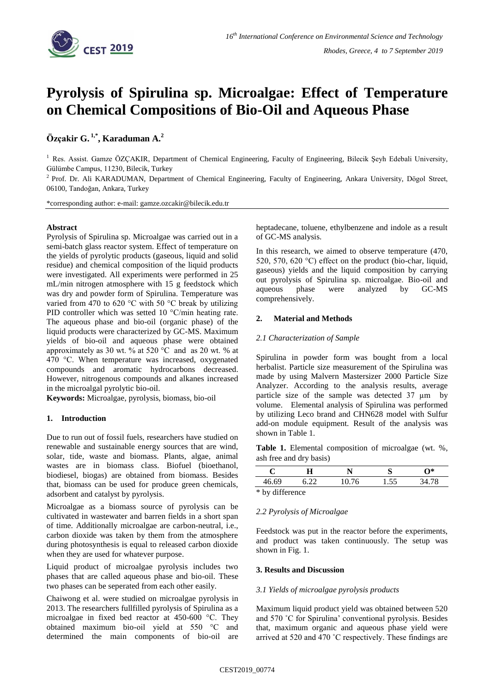

# **Pyrolysis of Spirulina sp. Microalgae: Effect of Temperature on Chemical Compositions of Bio-Oil and Aqueous Phase**

## **Özçakir G. 1,\* , Karaduman A. 2**

<sup>1</sup> Res. Assist. Gamze ÖZÇAKIR, Department of Chemical Engineering, Faculty of Engineering, Bilecik Şeyh Edebali University, Gülümbe Campus, 11230, Bilecik, Turkey

<sup>2</sup> Prof. Dr. Ali KARADUMAN, Department of Chemical Engineering, Faculty of Engineering, Ankara University, Dögol Street, 06100, Tandoğan, Ankara, Turkey

\*corresponding author: e-mail: gamze.ozcakir@bilecik.edu.tr

### **Abstract**

Pyrolysis of Spirulina sp. Microalgae was carried out in a semi-batch glass reactor system. Effect of temperature on the yields of pyrolytic products (gaseous, liquid and solid residue) and chemical composition of the liquid products were investigated. All experiments were performed in 25 mL/min nitrogen atmosphere with 15 g feedstock which was dry and powder form of Spirulina. Temperature was varied from 470 to 620 °C with 50 °C break by utilizing PID controller which was setted 10 °C/min heating rate. The aqueous phase and bio-oil (organic phase) of the liquid products were characterized by GC-MS. Maximum yields of bio-oil and aqueous phase were obtained approximately as 30 wt. % at 520 °C and as 20 wt. % at 470 °C. When temperature was increased, oxygenated compounds and aromatic hydrocarbons decreased. However, nitrogenous compounds and alkanes increased in the microalgal pyrolytic bio-oil.

**Keywords:** Microalgae, pyrolysis, biomass, bio-oil

### **1. Introduction**

Due to run out of fossil fuels, researchers have studied on renewable and sustainable energy sources that are wind, solar, tide, waste and biomass. Plants, algae, animal wastes are in biomass class. Biofuel (bioethanol, biodiesel, biogas) are obtained from biomass. Besides that, biomass can be used for produce green chemicals, adsorbent and catalyst by pyrolysis.

Microalgae as a biomass source of pyrolysis can be cultivated in wastewater and barren fields in a short span of time. Additionally microalgae are carbon-neutral, i.e., carbon dioxide was taken by them from the atmosphere during photosynthesis is equal to released carbon dioxide when they are used for whatever purpose.

Liquid product of microalgae pyrolysis includes two phases that are called aqueous phase and bio-oil. These two phases can be seperated from each other easily.

Chaiwong et al. were studied on microalgae pyrolysis in 2013. The researchers fullfilled pyrolysis of Spirulina as a microalgae in fixed bed reactor at 450-600 °C. They obtained maximum bio-oil yield at 550 °C and determined the main components of bio-oil are heptadecane, toluene, ethylbenzene and indole as a result of GC-MS analysis.

In this research, we aimed to observe temperature (470, 520, 570, 620 °C) effect on the product (bio-char, liquid, gaseous) yields and the liquid composition by carrying out pyrolysis of Spirulina sp. microalgae. Bio-oil and aqueous phase were analyzed by GC-MS [comprehensively.](https://tureng.com/tr/turkce-ingilizce/comprehensively)

#### **2. Material and Methods**

#### *2.1 Characterization of Sample*

Spirulina in powder form was bought from a local herbalist. Particle size measurement of the Spirulina was made by using Malvern Mastersizer 2000 Particle Size Analyzer. According to the analysis results, average particle size of the sample was detected 37 µm by volume. Elemental analysis of Spirulina was performed by utilizing Leco brand and CHN628 model with Sulfur add-on module equipment. Result of the analysis was shown in Table 1.

Table 1. Elemental composition of microalgae (wt. %.) ash free and dry basis)

|                   |  | ن بي |  |
|-------------------|--|------|--|
| $*$ by difference |  |      |  |

by difference

#### *2.2 Pyrolysis of Microalgae*

Feedstock was put in the reactor before the experiments, and product was taken continuously. The setup was shown in Fig. 1.

### **3. Results and Discussion**

#### *3.1 Yields of microalgae pyrolysis products*

Maximum liquid product yield was obtained between 520 and 570 ˚C for Spirulina' conventional pyrolysis. Besides that, maximum organic and aqueous phase yield were arrived at 520 and 470 ˚C respectively. These findings are